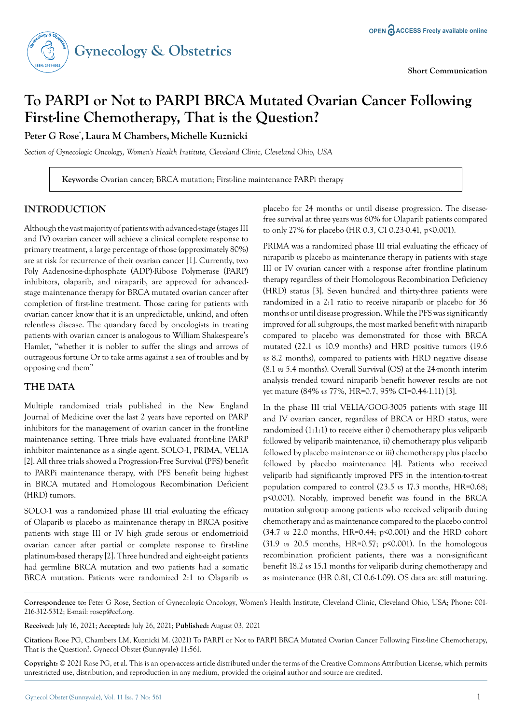

# **To PARPI or Not to PARPI BRCA Mutated Ovarian Cancer Following First-line Chemotherapy, That is the Question?**

**Peter G Rose\* , Laura M Chambers,Michelle Kuznicki**

*Section of Gynecologic Oncology, Women's Health Institute, Cleveland Clinic, Cleveland Ohio, USA*

**Keywords:** Ovarian cancer; BRCA mutation; First-line maintenance PARPi therapy

# **INTRODUCTION**

Although the vast majority of patients with advanced-stage (stages III and IV) ovarian cancer will achieve a clinical complete response to primary treatment, a large percentage of those (approximately 80%) are at risk for recurrence of their ovarian cancer [1]. Currently, two Poly Aadenosine-diphosphate (ADP)-Ribose Polymerase (PARP) inhibitors, olaparib, and niraparib, are approved for advancedstage maintenance therapy for BRCA mutated ovarian cancer after completion of first-line treatment. Those caring for patients with ovarian cancer know that it is an unpredictable, unkind, and often relentless disease. The quandary faced by oncologists in treating patients with ovarian cancer is analogous to William Shakespeare's Hamlet, "whether it is nobler to suffer the slings and arrows of outrageous fortune Or to take arms against a sea of troubles and by opposing end them"

## **THE DATA**

Multiple randomized trials published in the New England Journal of Medicine over the last 2 years have reported on PARP inhibitors for the management of ovarian cancer in the front-line maintenance setting. Three trials have evaluated front-line PARP inhibitor maintenance as a single agent, SOLO-1, PRIMA, VELIA [2]. All three trials showed a Progression-Free Survival (PFS) benefit to PARPi maintenance therapy, with PFS benefit being highest in BRCA mutated and Homologous Recombination Deficient (HRD) tumors.

SOLO-1 was a randomized phase III trial evaluating the efficacy of Olaparib *vs* placebo as maintenance therapy in BRCA positive patients with stage III or IV high grade serous or endometrioid ovarian cancer after partial or complete response to first-line platinum-based therapy [2]. Three hundred and eight-eight patients had germline BRCA mutation and two patients had a somatic BRCA mutation. Patients were randomized 2:1 to Olaparib *vs* 

placebo for 24 months or until disease progression. The diseasefree survival at three years was 60% for Olaparib patients compared to only 27% for placebo (HR 0.3, CI 0.23-0.41, p<0.001).

PRIMA was a randomized phase III trial evaluating the efficacy of niraparib *vs* placebo as maintenance therapy in patients with stage III or IV ovarian cancer with a response after frontline platinum therapy regardless of their Homologous Recombination Deficiency (HRD) status [3]. Seven hundred and thirty-three patients were randomized in a 2:1 ratio to receive niraparib or placebo for 36 months or until disease progression. While the PFS was significantly improved for all subgroups, the most marked benefit with niraparib compared to placebo was demonstrated for those with BRCA mutated (22.1 *vs* 10.9 months) and HRD positive tumors (19.6 *vs* 8.2 months), compared to patients with HRD negative disease (8.1 *vs* 5.4 months). Overall Survival (OS) at the 24-month interim analysis trended toward niraparib benefit however results are not yet mature (84% *vs* 77%, HR=0.7, 95% CI=0.44-1.11) [3].

In the phase III trial VELIA/GOG-3005 patients with stage III and IV ovarian cancer, regardless of BRCA or HRD status, were randomized (1:1:1) to receive either i) chemotherapy plus veliparib followed by veliparib maintenance, ii) chemotherapy plus veliparib followed by placebo maintenance or iii) chemotherapy plus placebo followed by placebo maintenance [4]. Patients who received veliparib had significantly improved PFS in the intention-to-treat population compared to control (23.5 *vs* 17.3 months, HR=0.68; p<0.001). Notably, improved benefit was found in the BRCA mutation subgroup among patients who received veliparib during chemotherapy and as maintenance compared to the placebo control (34.7 *vs* 22.0 months, HR=0.44; p<0.001) and the HRD cohort (31.9 *vs* 20.5 months, HR=0.57; p<0.001). In the homologous recombination proficient patients, there was a non-significant benefit 18.2 *vs* 15.1 months for veliparib during chemotherapy and as maintenance (HR 0.81, CI 0.6-1.09). OS data are still maturing.

**Correspondence to:** Peter G Rose, Section of Gynecologic Oncology, Women's Health Institute, Cleveland Clinic, Cleveland Ohio, USA; Phone: 001- 216-312-5312; E-mail: rosep@ccf.org.

**Received:** July 16, 2021; **Accepted:** July 26, 2021; **Published:** August 03, 2021

**Citation:** Rose PG, Chambers LM, Kuznicki M. (2021) To PARPI or Not to PARPI BRCA Mutated Ovarian Cancer Following First-line Chemotherapy, That is the Question?. Gynecol Obstet (Sunnyvale) 11:561.

**Copyright:** © 2021 Rose PG, et al. This is an open-access article distributed under the terms of the Creative Commons Attribution License, which permits unrestricted use, distribution, and reproduction in any medium, provided the original author and source are credited.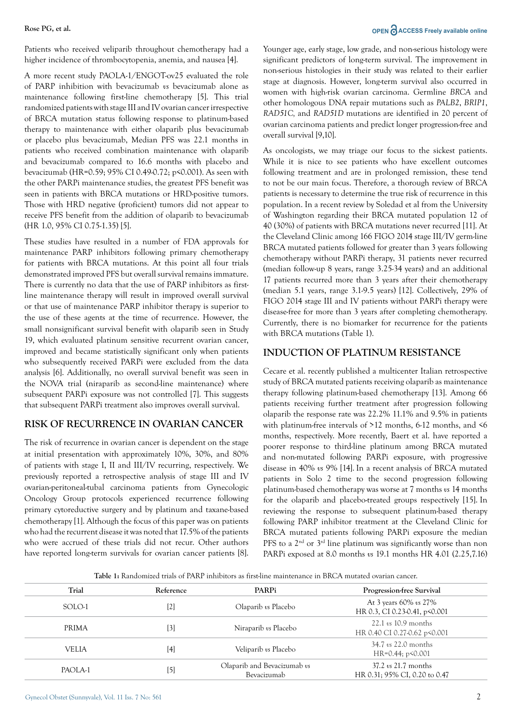Patients who received veliparib throughout chemotherapy had a higher incidence of thrombocytopenia, anemia, and nausea [4].

A more recent study PAOLA-1/ENGOT-ov25 evaluated the role of PARP inhibition with bevacizumab *vs* bevacizumab alone as maintenance following first-line chemotherapy [5]. This trial randomized patients with stage III and IV ovarian cancer irrespective of BRCA mutation status following response to platinum-based therapy to maintenance with either olaparib plus bevacizumab or placebo plus bevacizumab, Median PFS was 22.1 months in patients who received combination maintenance with olaparib and bevacizumab compared to 16.6 months with placebo and bevacizumab (HR=0.59; 95% CI 0.49-0.72; p<0.001). As seen with the other PARPi maintenance studies, the greatest PFS benefit was seen in patients with BRCA mutations or HRD-positive tumors. Those with HRD negative (proficient) tumors did not appear to receive PFS benefit from the addition of olaparib to bevacizumab (HR 1.0, 95% CI 0.75-1.35) [5].

These studies have resulted in a number of FDA approvals for maintenance PARP inhibitors following primary chemotherapy for patients with BRCA mutations. At this point all four trials demonstrated improved PFS but overall survival remains immature. There is currently no data that the use of PARP inhibitors as firstline maintenance therapy will result in improved overall survival or that use of maintenance PARP inhibitor therapy is superior to the use of these agents at the time of recurrence. However, the small nonsignificant survival benefit with olaparib seen in Study 19, which evaluated platinum sensitive recurrent ovarian cancer, improved and became statistically significant only when patients who subsequently received PARPi were excluded from the data analysis [6]. Additionally, no overall survival benefit was seen in the NOVA trial (niraparib as second-line maintenance) where subsequent PARPi exposure was not controlled [7]. This suggests that subsequent PARPi treatment also improves overall survival.

### **RISK OF RECURRENCE IN OVARIAN CANCER**

The risk of recurrence in ovarian cancer is dependent on the stage at initial presentation with approximately 10%, 30%, and 80% of patients with stage I, II and III/IV recurring, respectively. We previously reported a retrospective analysis of stage III and IV ovarian-peritoneal-tubal carcinoma patients from Gynecologic Oncology Group protocols experienced recurrence following primary cytoreductive surgery and by platinum and taxane-based chemotherapy [1]. Although the focus of this paper was on patients who had the recurrent disease it was noted that 17.5% of the patients who were accrued of these trials did not recur. Other authors have reported long-term survivals for ovarian cancer patients [8].

### **Rose PG, et al. OPEN**  $\bigcap_{n=1}^{\infty}$  **ACCESS** Freely available online

Younger age, early stage, low grade, and non-serious histology were significant predictors of long-term survival. The improvement in non-serious histologies in their study was related to their earlier stage at diagnosis. However, long-term survival also occurred in women with high-risk ovarian carcinoma. Germline *BRCA* and other homologous DNA repair mutations such as *PALB2*, *BRIP1*, *RAD51C,* and *RAD51D* mutations are identified in 20 percent of ovarian carcinoma patients and predict longer progression-free and overall survival [9,10].

As oncologists, we may triage our focus to the sickest patients. While it is nice to see patients who have excellent outcomes following treatment and are in prolonged remission, these tend to not be our main focus. Therefore, a thorough review of BRCA patients is necessary to determine the true risk of recurrence in this population. In a recent review by Soledad et al from the University of Washington regarding their BRCA mutated population 12 of 40 (30%) of patients with BRCA mutations never recurred [11]. At the Cleveland Clinic among 166 FIGO 2014 stage III/IV germ-line BRCA mutated patients followed for greater than 3 years following chemotherapy without PARPi therapy, 31 patients never recurred (median follow-up 8 years, range 3.25-34 years) and an additional 17 patients recurred more than 3 years after their chemotherapy (median 5.1 years, range 3.1-9.5 years) [12]. Collectively, 29% of FIGO 2014 stage III and IV patients without PARPi therapy were disease-free for more than 3 years after completing chemotherapy. Currently, there is no biomarker for recurrence for the patients with BRCA mutations (Table 1).

### **INDUCTION OF PLATINUM RESISTANCE**

Cecare et al. recently published a multicenter Italian retrospective study of BRCA mutated patients receiving olaparib as maintenance therapy following platinum-based chemotherapy [13]. Among 66 patients receiving further treatment after progression following olaparib the response rate was 22.2% 11.1% and 9.5% in patients with platinum-free intervals of >12 months, 6-12 months, and <6 months, respectively. More recently, Baert et al. have reported a poorer response to third-line platinum among BRCA mutated and non-mutated following PARPi exposure, with progressive disease in 40% *vs* 9% [14]. In a recent analysis of BRCA mutated patients in Solo 2 time to the second progression following platinum-based chemotherapy was worse at 7 months *vs* 14 months for the olaparib and placebo-treated groups respectively [15]. In reviewing the response to subsequent platinum-based therapy following PARP inhibitor treatment at the Cleveland Clinic for BRCA mutated patients following PARPi exposure the median PFS to a  $2<sup>nd</sup>$  or  $3<sup>rd</sup>$  line platinum was significantly worse than non PARPi exposed at 8.0 months *vs* 19.1 months HR 4.01 (2.25,7.16)

**Table 1:** Randomized trials of PARP inhibitors as first-line maintenance in BRCA mutated ovarian cancer.

| Trial   | Reference | PARPi                                      | Progression-free Survival                               |
|---------|-----------|--------------------------------------------|---------------------------------------------------------|
| SOLO-1  | [2]       | Olaparib $\upsilon$ s Placebo              | At 3 years 60% vs 27%<br>HR 0.3, CI 0.23-0.41, p<0.001  |
| PRIMA   | [3]       | Niraparib vs Placebo                       | $22.1$ vs $10.9$ months<br>HR 0.40 CI 0.27-0.62 p<0.001 |
| VELIA   | [4]       | Veliparib vs Placebo                       | 34.7 <i>vs</i> 22.0 months<br>$HR=0.44; p<0.001$        |
| PAOLA-1 | [5]       | Olaparib and Bevacizumab vs<br>Bevacizumab | $37.2$ vs 21.7 months<br>HR 0.31; 95% CI, 0.20 to 0.47  |
|         |           |                                            |                                                         |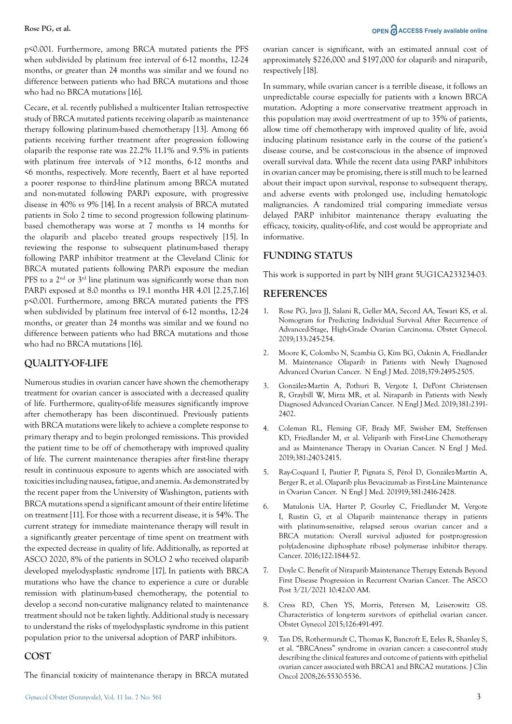p<0.001. Furthermore, among BRCA mutated patients the PFS when subdivided by platinum free interval of 6-12 months, 12-24 months, or greater than 24 months was similar and we found no difference between patients who had BRCA mutations and those who had no BRCA mutations [16].

Cecare, et al. recently published a multicenter Italian retrospective study of BRCA mutated patients receiving olaparib as maintenance therapy following platinum-based chemotherapy [13]. Among 66 patients receiving further treatment after progression following olaparib the response rate was 22.2% 11.1% and 9.5% in patients with platinum free intervals of >12 months, 6-12 months and <6 months, respectively. More recently, Baert et al have reported a poorer response to third-line platinum among BRCA mutated and non-mutated following PARPi exposure, with progressive disease in 40% *vs* 9% [14]. In a recent analysis of BRCA mutated patients in Solo 2 time to second progression following platinumbased chemotherapy was worse at 7 months *vs* 14 months for the olaparib and placebo treated groups respectively [15]. In reviewing the response to subsequent platinum-based therapy following PARP inhibitor treatment at the Cleveland Clinic for BRCA mutated patients following PARPi exposure the median PFS to a  $2<sup>nd</sup>$  or  $3<sup>rd</sup>$  line platinum was significantly worse than non PARPi exposed at 8.0 months *vs* 19.1 months HR 4.01 [2.25,7.16] p<0.001. Furthermore, among BRCA mutated patients the PFS when subdivided by platinum free interval of 6-12 months, 12-24 months, or greater than 24 months was similar and we found no difference between patients who had BRCA mutations and those who had no BRCA mutations [16].

### **QUALITY-OF-LIFE**

Numerous studies in ovarian cancer have shown the chemotherapy treatment for ovarian cancer is associated with a decreased quality of life. Furthermore, quality-of-life measures significantly improve after chemotherapy has been discontinued. Previously patients with BRCA mutations were likely to achieve a complete response to primary therapy and to begin prolonged remissions. This provided the patient time to be off of chemotherapy with improved quality of life. The current maintenance therapies after first-line therapy result in continuous exposure to agents which are associated with toxicities including nausea, fatigue, and anemia. As demonstrated by the recent paper from the University of Washington, patients with BRCA mutations spend a significant amount of their entire lifetime on treatment [11]. For those with a recurrent disease, it is 54%. The current strategy for immediate maintenance therapy will result in a significantly greater percentage of time spent on treatment with the expected decrease in quality of life. Additionally, as reported at ASCO 2020, 8% of the patients in SOLO 2 who received olaparib developed myelodysplastic syndrome [17]. In patients with BRCA mutations who have the chance to experience a cure or durable remission with platinum-based chemotherapy, the potential to develop a second non-curative malignancy related to maintenance treatment should not be taken lightly. Additional study is necessary to understand the risks of myelodysplastic syndrome in this patient population prior to the universal adoption of PARP inhibitors.

### **COST**

The financial toxicity of maintenance therapy in BRCA mutated

ovarian cancer is significant, with an estimated annual cost of approximately \$226,000 and \$197,000 for olaparib and niraparib, respectively [18].

In summary, while ovarian cancer is a terrible disease, it follows an unpredictable course especially for patients with a known BRCA mutation. Adopting a more conservative treatment approach in this population may avoid overtreatment of up to 35% of patients, allow time off chemotherapy with improved quality of life, avoid inducing platinum resistance early in the course of the patient's disease course, and be cost-conscious in the absence of improved overall survival data. While the recent data using PARP inhibitors in ovarian cancer may be promising, there is still much to be learned about their impact upon survival, response to subsequent therapy, and adverse events with prolonged use, including hematologic malignancies. A randomized trial comparing immediate versus delayed PARP inhibitor maintenance therapy evaluating the efficacy, toxicity, quality-of-life, and cost would be appropriate and informative.

### **FUNDING STATUS**

This work is supported in part by NIH grant 5UG1CA233234-03.

### **REFERENCES**

- 1. Rose PG, Java JJ, Salani R, Geller MA, Secord AA, Tewari KS, et al. Nomogram for Predicting Individual Survival After Recurrence of Advanced-Stage, High-Grade Ovarian Carcinoma. Obstet Gynecol. 2019;133:245-254.
- 2. [Moore K, Colombo N, Scambia G, Kim BG, Oaknin A, Friedlander](https://pubmed-ncbi-nlm-nih-gov.ccmain.ohionet.org/30345884/?from_term=nejm+parp+inhibitors+ovarian+cancer&from_pos=1)  [M. Maintenance Olaparib in Patients with Newly Diagnosed](https://pubmed-ncbi-nlm-nih-gov.ccmain.ohionet.org/30345884/?from_term=nejm+parp+inhibitors+ovarian+cancer&from_pos=1)  [Advanced Ovarian Cancer. N Engl J Med. 2018;379:2495-2505.](https://pubmed-ncbi-nlm-nih-gov.ccmain.ohionet.org/30345884/?from_term=nejm+parp+inhibitors+ovarian+cancer&from_pos=1)
- 3. [González-Martín A, Pothuri B, Vergote I, DePont Christensen](https://pubmed-ncbi-nlm-nih-gov.ccmain.ohionet.org/31562799/?from_term=nejm+parp+inhibitors+ovarian+cancer&from_pos=5)  [R, Graybill W, Mirza MR, et al. Niraparib in Patients with Newly](https://pubmed-ncbi-nlm-nih-gov.ccmain.ohionet.org/31562799/?from_term=nejm+parp+inhibitors+ovarian+cancer&from_pos=5)  [Diagnosed Advanced Ovarian Cancer. N Engl J Med. 2019;381:2391-](https://pubmed-ncbi-nlm-nih-gov.ccmain.ohionet.org/31562799/?from_term=nejm+parp+inhibitors+ovarian+cancer&from_pos=5) [2402.](https://pubmed-ncbi-nlm-nih-gov.ccmain.ohionet.org/31562799/?from_term=nejm+parp+inhibitors+ovarian+cancer&from_pos=5)
- 4. [Coleman RL, Fleming GF, Brady MF, Swisher EM, Steffensen](https://pubmed-ncbi-nlm-nih-gov.ccmain.ohionet.org/31562800/?from_term=nejm+parp+inhibitors+ovarian+cancer&from_pos=4)  [KD, Friedlander M, et al. Veliparib with First-Line Chemotherapy](https://pubmed-ncbi-nlm-nih-gov.ccmain.ohionet.org/31562800/?from_term=nejm+parp+inhibitors+ovarian+cancer&from_pos=4)  [and as Maintenance Therapy in Ovarian Cancer. N Engl J Med.](https://pubmed-ncbi-nlm-nih-gov.ccmain.ohionet.org/31562800/?from_term=nejm+parp+inhibitors+ovarian+cancer&from_pos=4)  [2019;381:2403-2415.](https://pubmed-ncbi-nlm-nih-gov.ccmain.ohionet.org/31562800/?from_term=nejm+parp+inhibitors+ovarian+cancer&from_pos=4)
- 5. [Ray-Coquard I, Pautier P, Pignata S, Pérol D, González-Martín A,](https://pubmed-ncbi-nlm-nih-gov.ccmain.ohionet.org/31851799/?from_term=nejm+parp+inhibitors+ovarian+cancer&from_pos=7)  [Berger R, et al. Olaparib plus Bevacizumab as First-Line Maintenance](https://pubmed-ncbi-nlm-nih-gov.ccmain.ohionet.org/31851799/?from_term=nejm+parp+inhibitors+ovarian+cancer&from_pos=7)  [in Ovarian Cancer. N Engl J Med. 201919;381:2416-2428.](https://pubmed-ncbi-nlm-nih-gov.ccmain.ohionet.org/31851799/?from_term=nejm+parp+inhibitors+ovarian+cancer&from_pos=7)
- 6. [Matulonis UA, Harter P, Gourley C, Friedlander M, Vergote](https://pubmed.ncbi.nlm.nih.gov/27062051/?from_term=matulonis+olaparib&from_page=2&from_pos=3)  [I, Rustin G, et al Olaparib maintenance therapy in patients](https://pubmed.ncbi.nlm.nih.gov/27062051/?from_term=matulonis+olaparib&from_page=2&from_pos=3)  [with platinum-sensitive, relapsed serous ovarian cancer and a](https://pubmed.ncbi.nlm.nih.gov/27062051/?from_term=matulonis+olaparib&from_page=2&from_pos=3)  [BRCA mutation: Overall survival adjusted for postprogression](https://pubmed.ncbi.nlm.nih.gov/27062051/?from_term=matulonis+olaparib&from_page=2&from_pos=3)  [poly\(adenosine diphosphate ribose\) polymerase inhibitor therapy.](https://pubmed.ncbi.nlm.nih.gov/27062051/?from_term=matulonis+olaparib&from_page=2&from_pos=3)  [Cancer. 2016;122:1844-52.](https://pubmed.ncbi.nlm.nih.gov/27062051/?from_term=matulonis+olaparib&from_page=2&from_pos=3)
- 7. Doyle C. Benefit of Niraparib Maintenance Therapy Extends Beyond First Disease Progression in Recurrent Ovarian Cancer. The ASCO Post 3/21/2021 10:42:00 AM.
- 8. Cress RD, Chen YS, Morris, Petersen M, Leiserowitz GS. Characteristics of long-term survivors of epithelial ovarian cancer. Obstet Gynecol 2015;126:491-497.
- 9. Tan DS, Rothermundt C, Thomas K, Bancroft E, Eeles R, Shanley S, et al. "BRCAness" syndrome in ovarian cancer: a case-control study describing the clinical features and outcome of patients with epithelial ovarian cancer associated with BRCA1 and BRCA2 mutations. J Clin Oncol 2008;26:5530-5536.